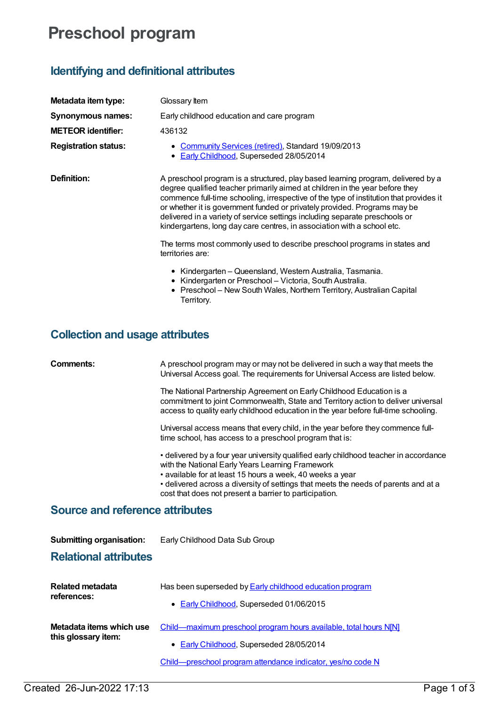## **Preschool program**

## **Identifying and definitional attributes**

| Metadata item type:         | Glossary Item                                                                                                                                                                                                                                                                                                                                                                                                                                                                                     |
|-----------------------------|---------------------------------------------------------------------------------------------------------------------------------------------------------------------------------------------------------------------------------------------------------------------------------------------------------------------------------------------------------------------------------------------------------------------------------------------------------------------------------------------------|
| Synonymous names:           | Early childhood education and care program                                                                                                                                                                                                                                                                                                                                                                                                                                                        |
| <b>METEOR identifier:</b>   | 436132                                                                                                                                                                                                                                                                                                                                                                                                                                                                                            |
| <b>Registration status:</b> | • Community Services (retired), Standard 19/09/2013<br>• Early Childhood, Superseded 28/05/2014                                                                                                                                                                                                                                                                                                                                                                                                   |
| Definition:                 | A preschool program is a structured, play based learning program, delivered by a<br>degree qualified teacher primarily aimed at children in the year before they<br>commence full-time schooling, irrespective of the type of institution that provides it<br>or whether it is government funded or privately provided. Programs may be<br>delivered in a variety of service settings including separate preschools or<br>kindergartens, long day care centres, in association with a school etc. |
|                             | The terms most commonly used to describe preschool programs in states and<br>territories are:                                                                                                                                                                                                                                                                                                                                                                                                     |
|                             | • Kindergarten – Queensland, Western Australia, Tasmania.<br>• Kindergarten or Preschool - Victoria, South Australia.<br>• Preschool – New South Wales, Northern Territory, Australian Capital<br>Territory.                                                                                                                                                                                                                                                                                      |

## **Collection and usage attributes**

|                                                                 | The National Partnership Agreement on Early Childhood Education is a<br>commitment to joint Commonwealth, State and Territory action to deliver universal<br>access to quality early childhood education in the year before full-time schooling.                                                                                                        |
|-----------------------------------------------------------------|---------------------------------------------------------------------------------------------------------------------------------------------------------------------------------------------------------------------------------------------------------------------------------------------------------------------------------------------------------|
|                                                                 | Universal access means that every child, in the year before they commence full-<br>time school, has access to a preschool program that is:                                                                                                                                                                                                              |
|                                                                 | • delivered by a four year university qualified early childhood teacher in accordance<br>with the National Early Years Learning Framework<br>• available for at least 15 hours a week, 40 weeks a year<br>• delivered across a diversity of settings that meets the needs of parents and at a<br>cost that does not present a barrier to participation. |
| <b>Source and reference attributes</b>                          |                                                                                                                                                                                                                                                                                                                                                         |
| <b>Submitting organisation:</b><br><b>Relational attributes</b> | Early Childhood Data Sub Group                                                                                                                                                                                                                                                                                                                          |
|                                                                 |                                                                                                                                                                                                                                                                                                                                                         |
|                                                                 |                                                                                                                                                                                                                                                                                                                                                         |
| Related metadata                                                | Has been superseded by <b>Early childhood education program</b>                                                                                                                                                                                                                                                                                         |
| references:                                                     | • Early Childhood, Superseded 01/06/2015                                                                                                                                                                                                                                                                                                                |
| Metadata items which use<br>this glossary item:                 | Child—maximum preschool program hours available, total hours N[N]                                                                                                                                                                                                                                                                                       |

**Comments:** A preschool program may or may not be delivered in such a way that meets the

Universal Access goal. The requirements for Universal Access are listed below.

[Child—preschool](https://meteor.aihw.gov.au/content/436120) program attendance indicator, yes/no code N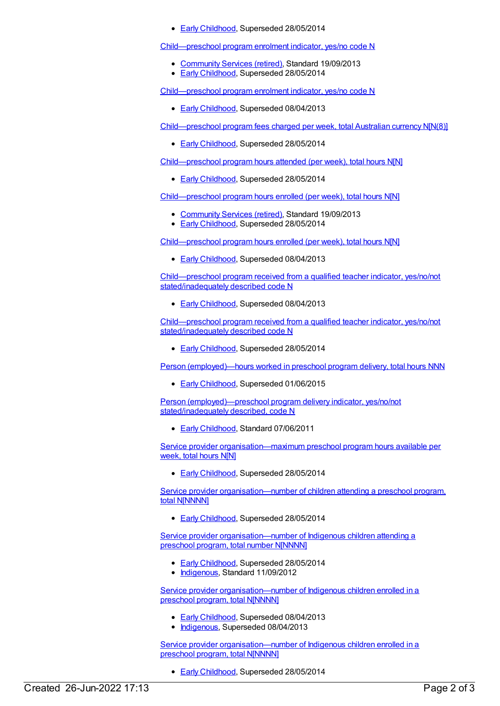● Early [Childhood](https://meteor.aihw.gov.au/RegistrationAuthority/13), Superseded 28/05/2014

[Child—preschool](https://meteor.aihw.gov.au/content/506727) program enrolment indicator, yes/no code N

- [Community](https://meteor.aihw.gov.au/RegistrationAuthority/1) Services (retired), Standard 19/09/2013
- Early [Childhood](https://meteor.aihw.gov.au/RegistrationAuthority/13), Superseded 28/05/2014

[Child—preschool](https://meteor.aihw.gov.au/content/436126) program enrolment indicator, yes/no code N

**Early [Childhood](https://meteor.aihw.gov.au/RegistrationAuthority/13), Superseded 08/04/2013** 

[Child—preschool](https://meteor.aihw.gov.au/content/436106) program fees charged per week, total Australian currency N[N(8)]

**Early [Childhood](https://meteor.aihw.gov.au/RegistrationAuthority/13), Superseded 28/05/2014** 

[Child—preschool](https://meteor.aihw.gov.au/content/436128) program hours attended (per week), total hours N[N]

**Early [Childhood](https://meteor.aihw.gov.au/RegistrationAuthority/13), Superseded 28/05/2014** 

[Child—preschool](https://meteor.aihw.gov.au/content/506729) program hours enrolled (per week), total hours N[N]

- [Community](https://meteor.aihw.gov.au/RegistrationAuthority/1) Services (retired), Standard 19/09/2013
- Early [Childhood](https://meteor.aihw.gov.au/RegistrationAuthority/13), Superseded 28/05/2014

[Child—preschool](https://meteor.aihw.gov.au/content/436130) program hours enrolled (per week), total hours N[N]

**Early [Childhood](https://meteor.aihw.gov.au/RegistrationAuthority/13), Superseded 08/04/2013** 

Child—preschool program received from a qualified teacher indicator, yes/no/not [stated/inadequately](https://meteor.aihw.gov.au/content/436683) described code N

**Early [Childhood](https://meteor.aihw.gov.au/RegistrationAuthority/13), Superseded 08/04/2013** 

[Child—preschool](https://meteor.aihw.gov.au/content/506731) program received from a qualified teacher indicator, yes/no/not stated/inadequately described code N

**Early [Childhood](https://meteor.aihw.gov.au/RegistrationAuthority/13), Superseded 28/05/2014** 

Person [\(employed\)—hours](https://meteor.aihw.gov.au/content/437558) worked in preschool program delivery, total hours NNN

● Early [Childhood](https://meteor.aihw.gov.au/RegistrationAuthority/13), Superseded 01/06/2015

Person [\(employed\)—preschool](https://meteor.aihw.gov.au/content/441674) program delivery indicator, yes/no/not stated/inadequately described, code N

● Early [Childhood](https://meteor.aihw.gov.au/RegistrationAuthority/13), Standard 07/06/2011

Service provider [organisation—maximum](https://meteor.aihw.gov.au/content/441232) preschool program hours available per week, total hours N[N]

**Early [Childhood](https://meteor.aihw.gov.au/RegistrationAuthority/13), Superseded 28/05/2014** 

Service provider [organisation—number](https://meteor.aihw.gov.au/content/441235) of children attending a preschool program, total N[NNNN]

**Early [Childhood](https://meteor.aihw.gov.au/RegistrationAuthority/13), Superseded 28/05/2014** 

Service provider [organisation—number](https://meteor.aihw.gov.au/content/441249) of Indigenous children attending a preschool program, total number N[NNNN]

- **Early [Childhood](https://meteor.aihw.gov.au/RegistrationAuthority/13), Superseded 28/05/2014**
- [Indigenous](https://meteor.aihw.gov.au/RegistrationAuthority/6), Standard 11/09/2012

Service provider [organisation—number](https://meteor.aihw.gov.au/content/441259) of Indigenous children enrolled in a preschool program, total N[NNNN]

- **Early [Childhood](https://meteor.aihw.gov.au/RegistrationAuthority/13), Superseded 08/04/2013**
- [Indigenous](https://meteor.aihw.gov.au/RegistrationAuthority/6), Superseded 08/04/2013

Service provider [organisation—number](https://meteor.aihw.gov.au/content/506734) of Indigenous children enrolled in a preschool program, total N[NNNN]

**Early [Childhood](https://meteor.aihw.gov.au/RegistrationAuthority/13), Superseded 28/05/2014**